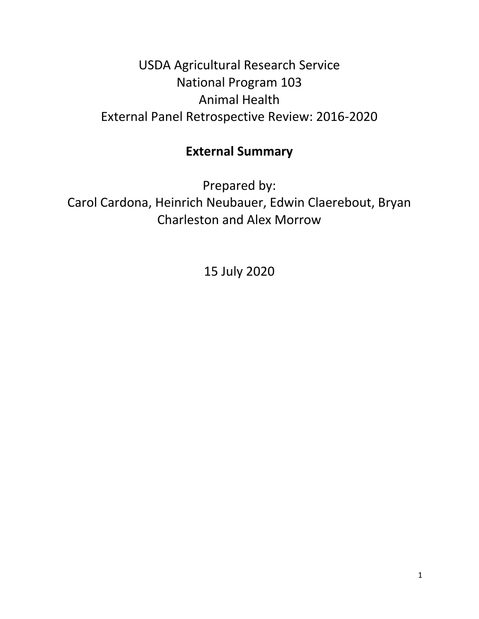## USDA Agricultural Research Service National Program 103 Animal Health External Panel Retrospective Review: 2016-2020

## **External Summary**

Prepared by: Carol Cardona, Heinrich Neubauer, Edwin Claerebout, Bryan Charleston and Alex Morrow

15 July 2020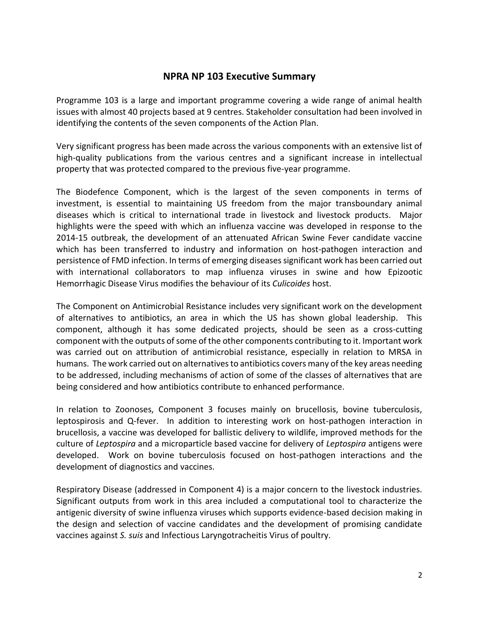## **NPRA NP 103 Executive Summary**

Programme 103 is a large and important programme covering a wide range of animal health issues with almost 40 projects based at 9 centres. Stakeholder consultation had been involved in identifying the contents of the seven components of the Action Plan.

Very significant progress has been made across the various components with an extensive list of high-quality publications from the various centres and a significant increase in intellectual property that was protected compared to the previous five-year programme.

The Biodefence Component, which is the largest of the seven components in terms of investment, is essential to maintaining US freedom from the major transboundary animal diseases which is critical to international trade in livestock and livestock products. Major highlights were the speed with which an influenza vaccine was developed in response to the 2014-15 outbreak, the development of an attenuated African Swine Fever candidate vaccine which has been transferred to industry and information on host-pathogen interaction and persistence of FMD infection. In terms of emerging diseases significant work has been carried out with international collaborators to map influenza viruses in swine and how Epizootic Hemorrhagic Disease Virus modifies the behaviour of its *Culicoides* host.

The Component on Antimicrobial Resistance includes very significant work on the development of alternatives to antibiotics, an area in which the US has shown global leadership. This component, although it has some dedicated projects, should be seen as a cross-cutting component with the outputs of some of the other components contributing to it. Important work was carried out on attribution of antimicrobial resistance, especially in relation to MRSA in humans. The work carried out on alternatives to antibiotics covers many of the key areas needing to be addressed, including mechanisms of action of some of the classes of alternatives that are being considered and how antibiotics contribute to enhanced performance.

In relation to Zoonoses, Component 3 focuses mainly on brucellosis, bovine tuberculosis, leptospirosis and Q-fever. In addition to interesting work on host-pathogen interaction in brucellosis, a vaccine was developed for ballistic delivery to wildlife, improved methods for the culture of *Leptospira* and a microparticle based vaccine for delivery of *Leptospira* antigens were developed. Work on bovine tuberculosis focused on host-pathogen interactions and the development of diagnostics and vaccines.

Respiratory Disease (addressed in Component 4) is a major concern to the livestock industries. Significant outputs from work in this area included a computational tool to characterize the antigenic diversity of swine influenza viruses which supports evidence-based decision making in the design and selection of vaccine candidates and the development of promising candidate vaccines against *S. suis* and Infectious Laryngotracheitis Virus of poultry.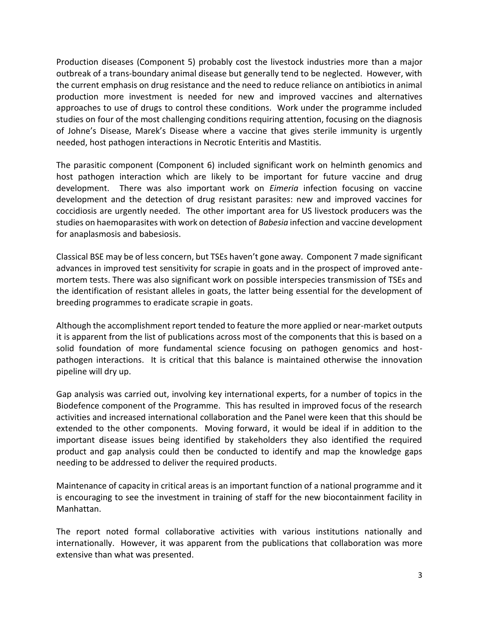Production diseases (Component 5) probably cost the livestock industries more than a major outbreak of a trans-boundary animal disease but generally tend to be neglected. However, with the current emphasis on drug resistance and the need to reduce reliance on antibiotics in animal production more investment is needed for new and improved vaccines and alternatives approaches to use of drugs to control these conditions. Work under the programme included studies on four of the most challenging conditions requiring attention, focusing on the diagnosis of Johne's Disease, Marek's Disease where a vaccine that gives sterile immunity is urgently needed, host pathogen interactions in Necrotic Enteritis and Mastitis.

The parasitic component (Component 6) included significant work on helminth genomics and host pathogen interaction which are likely to be important for future vaccine and drug development. There was also important work on *Eimeria* infection focusing on vaccine development and the detection of drug resistant parasites: new and improved vaccines for coccidiosis are urgently needed. The other important area for US livestock producers was the studies on haemoparasites with work on detection of *Babesia* infection and vaccine development for anaplasmosis and babesiosis.

Classical BSE may be of less concern, but TSEs haven't gone away. Component 7 made significant advances in improved test sensitivity for scrapie in goats and in the prospect of improved antemortem tests. There was also significant work on possible interspecies transmission of TSEs and the identification of resistant alleles in goats, the latter being essential for the development of breeding programmes to eradicate scrapie in goats.

Although the accomplishment report tended to feature the more applied or near-market outputs it is apparent from the list of publications across most of the components that this is based on a solid foundation of more fundamental science focusing on pathogen genomics and hostpathogen interactions. It is critical that this balance is maintained otherwise the innovation pipeline will dry up.

Gap analysis was carried out, involving key international experts, for a number of topics in the Biodefence component of the Programme. This has resulted in improved focus of the research activities and increased international collaboration and the Panel were keen that this should be extended to the other components. Moving forward, it would be ideal if in addition to the important disease issues being identified by stakeholders they also identified the required product and gap analysis could then be conducted to identify and map the knowledge gaps needing to be addressed to deliver the required products.

Maintenance of capacity in critical areas is an important function of a national programme and it is encouraging to see the investment in training of staff for the new biocontainment facility in Manhattan.

The report noted formal collaborative activities with various institutions nationally and internationally. However, it was apparent from the publications that collaboration was more extensive than what was presented.